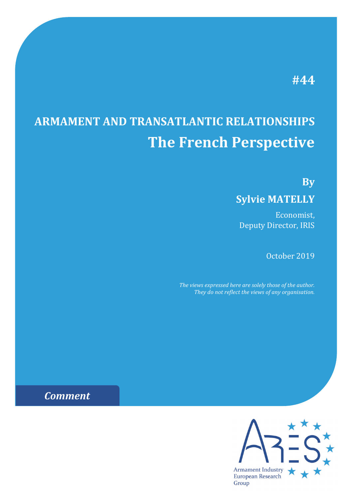### **#44**

# **ARMAMENT AND TRANSATLANTIC RELATIONSHIPS The French Perspective**

**By Sylvie MATELLY**

Economist, Deputy Director, IRIS

October 2019

*The views expressed here are solely those of the author. They do not reflect the views of any organisation.*

## *Comment*

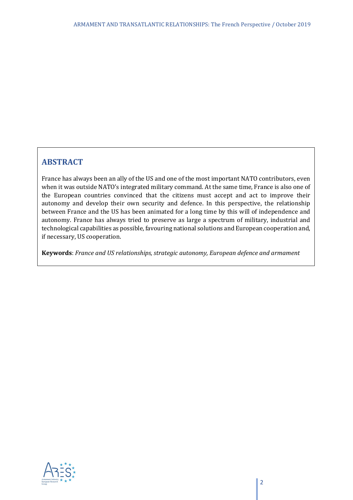### **ABSTRACT**

France has always been an ally of the US and one of the most important NATO contributors, even when it was outside NATO's integrated military command. At the same time, France is also one of the European countries convinced that the citizens must accept and act to improve their autonomy and develop their own security and defence. In this perspective, the relationship between France and the US has been animated for a long time by this will of independence and autonomy. France has always tried to preserve as large a spectrum of military, industrial and technological capabilities as possible, favouring national solutions and European cooperation and, if necessary, US cooperation.

**Keywords**: *France and US relationships, strategic autonomy, European defence and armament*

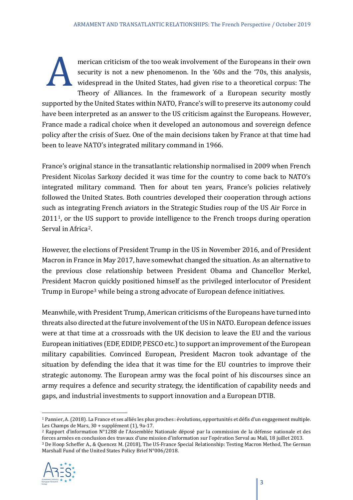merican criticism of the too weak involvement of the Europeans in their own security is not a new phenomenon. In the '60s and the '70s, this analysis, widespread in the United States, had given rise to a theoretical corpus: The Theory of Alliances. In the framework of a European security mostly security is not a new phenomenon. In the '60s and the '70s, this analysis,<br>widespread in the United States, had given rise to a theoretical corpus: The<br>Theory of Alliances. In the framework of a European security mostly<br>su have been interpreted as an answer to the US criticism against the Europeans. However, France made a radical choice when it developed an autonomous and sovereign defence policy after the crisis of Suez. One of the main decisions taken by France at that time had been to leave NATO's integrated military command in 1966.

France's original stance in the transatlantic relationship normalised in 2009 when French President Nicolas Sarkozy decided it was time for the country to come back to NATO's integrated military command. Then for about ten years, France's policies relatively followed the United States. Both countries developed their cooperation through actions such as integrating French aviators in the Strategic Studies roup of the US Air Force in 20[1](#page-2-0)1<sup>1</sup>, or the US support to provide intelligence to the French troops during operation Serval in Africa[2](#page-2-1).

However, the elections of President Trump in the US in November 2016, and of President Macron in France in May 2017, have somewhat changed the situation. As an alternative to the previous close relationship between President Obama and Chancellor Merkel, President Macron quickly positioned himself as the privileged interlocutor of President Trump in Europe[3](#page-2-2) while being a strong advocate of European defence initiatives.

Meanwhile, with President Trump, American criticisms of the Europeans have turned into threats also directed at the future involvement of the US in NATO. European defence issues were at that time at a crossroads with the UK decision to leave the EU and the various European initiatives (EDF, EDIDP, PESCO etc.) to support an improvement of the European military capabilities. Convinced European, President Macron took advantage of the situation by defending the idea that it was time for the EU countries to improve their strategic autonomy. The European army was the focal point of his discourses since an army requires a defence and security strategy, the identification of capability needs and gaps, and industrial investments to support innovation and a European DTIB.

<span id="page-2-2"></span>Marshall Fund of the United States Policy Brief N°006/2018.



<span id="page-2-0"></span><sup>1</sup> Pannier, A. (2018). La France et ses alliés les plus proches : évolutions, opportunités et défis d'un engagement multiple. Les Champs de Mars, 30 + supplément (1), 9a-17.

<span id="page-2-1"></span><sup>2</sup> Rapport d'information N°1288 de l'Assemblée Nationale déposé par la commission de la défense nationale et des forces armées en conclusion des travaux d'une mission d'information sur l'opération Serval au Mali, 18 juillet 2013. <sup>3</sup> De Hoop Scheffer A., & Quencez M. (2018), The US-France Special Relationship: Testing Macron Method, The German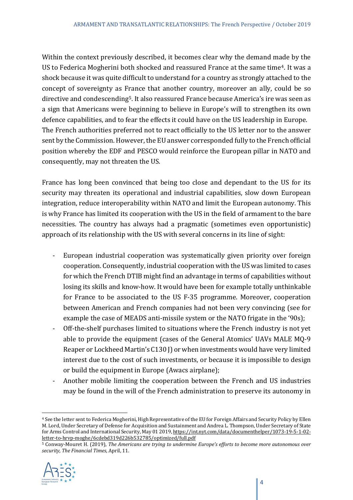Within the context previously described, it becomes clear why the demand made by the US to Federica Mogherini both shocked and reassured France at the same time[4](#page-3-0). It was a shock because it was quite difficult to understand for a country as strongly attached to the concept of sovereignty as France that another country, moreover an ally, could be so directive and condescending<sup>5</sup>. It also reassured France because America's ire was seen as a sign that Americans were beginning to believe in Europe's will to strengthen its own defence capabilities, and to fear the effects it could have on the US leadership in Europe. The French authorities preferred not to react officially to the US letter nor to the answer sent by the Commission. However, the EU answer corresponded fully to the French official position whereby the EDF and PESCO would reinforce the European pillar in NATO and consequently, may not threaten the US.

France has long been convinced that being too close and dependant to the US for its security may threaten its operational and industrial capabilities, slow down European integration, reduce interoperability within NATO and limit the European autonomy. This is why France has limited its cooperation with the US in the field of armament to the bare necessities. The country has always had a pragmatic (sometimes even opportunistic) approach of its relationship with the US with several concerns in its line of sight:

- European industrial cooperation was systematically given priority over foreign cooperation. Consequently, industrial cooperation with the US was limited to cases for which the French DTIB might find an advantage in terms of capabilities without losing its skills and know-how. It would have been for example totally unthinkable for France to be associated to the US F-35 programme. Moreover, cooperation between American and French companies had not been very convincing (see for example the case of MEADS anti-missile system or the NATO frigate in the '90s);
- Off-the-shelf purchases limited to situations where the French industry is not yet able to provide the equipment (cases of the General Atomics' UAVs MALE MQ-9 Reaper or Lockheed Martin's C130 J) or when investments would have very limited interest due to the cost of such investments, or because it is impossible to design or build the equipment in Europe (Awacs airplane);
- Another mobile limiting the cooperation between the French and US industries may be found in the will of the French administration to preserve its autonomy in

<span id="page-3-1"></span><sup>5</sup> Conway-Mouret H. (2019), *The Americans are trying to undermine Europe's efforts to become more autonomous over security, The Financial Times*, April, 11.



<span id="page-3-0"></span><sup>4</sup> See the letter sent to Federica Mogherini, High Representative of the EU for Foreign Affairs and Security Policy by Ellen M. Lord, Under Secretary of Defense for Acquisition and Sustainment and Andrea L. Thompson, Under Secretary of State for Arms Control and International Security, May 01 2019[, https://int.nyt.com/data/documenthelper/1073-19-5-1-02](https://int.nyt.com/data/documenthelper/1073-19-5-1-02-letter-to-hrvp-moghe/6cdebd319d226b532785/optimized/full.pdf) [letter-to-hrvp-moghe/6cdebd319d226b532785/optimized/full.pdf](https://int.nyt.com/data/documenthelper/1073-19-5-1-02-letter-to-hrvp-moghe/6cdebd319d226b532785/optimized/full.pdf)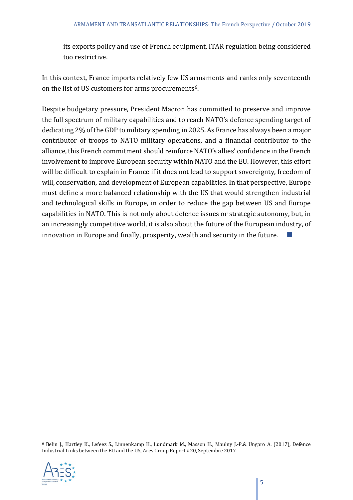its exports policy and use of French equipment, ITAR regulation being considered too restrictive.

In this context, France imports relatively few US armaments and ranks only seventeenth on the list of US customers for arms procurements<sup>[6](#page-4-0)</sup>.

Despite budgetary pressure, President Macron has committed to preserve and improve the full spectrum of military capabilities and to reach NATO's defence spending target of dedicating 2% of the GDP to military spending in 2025. As France has always been a major contributor of troops to NATO military operations, and a financial contributor to the alliance, this French commitment should reinforce NATO's allies' confidence in the French involvement to improve European security within NATO and the EU. However, this effort will be difficult to explain in France if it does not lead to support sovereignty, freedom of will, conservation, and development of European capabilities. In that perspective, Europe must define a more balanced relationship with the US that would strengthen industrial and technological skills in Europe, in order to reduce the gap between US and Europe capabilities in NATO. This is not only about defence issues or strategic autonomy, but, in an increasingly competitive world, it is also about the future of the European industry, of innovation in Europe and finally, prosperity, wealth and security in the future.

<span id="page-4-0"></span><sup>6</sup> Belin J., Hartley K., Lefeez S., Linnenkamp H., Lundmark M., Masson H., Maulny J.-P.& Ungaro A. (2017), Defence Industrial Links between the EU and the US, Ares Group Report #20, Septembre 2017.

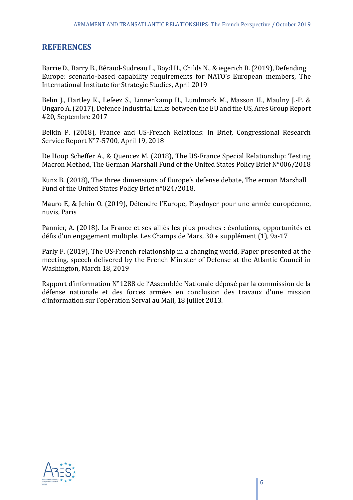#### **REFERENCES**

Barrie D., Barry B., Béraud-Sudreau L., Boyd H., Childs N., & iegerich B. (2019), Defending Europe: scenario-based capability requirements for NATO's European members, The International Institute for Strategic Studies, April 2019

Belin J., Hartley K., Lefeez S., Linnenkamp H., Lundmark M., Masson H., Maulny J.-P. & Ungaro A. (2017), Defence Industrial Links between the EU and the US, Ares Group Report #20, Septembre 2017

Belkin P. (2018), France and US-French Relations: In Brief, Congressional Research Service Report N°7-5700, April 19, 2018

De Hoop Scheffer A., & Quencez M. (2018), The US-France Special Relationship: Testing Macron Method, The German Marshall Fund of the United States Policy Brief N°006/2018

Kunz B. (2018), The three dimensions of Europe's defense debate, The erman Marshall Fund of the United States Policy Brief n°024/2018.

Mauro F., & Jehin O. (2019), Défendre l'Europe, Playdoyer pour une armée européenne, nuvis, Paris

Pannier, A. (2018). La France et ses alliés les plus proches : évolutions, opportunités et défis d'un engagement multiple. Les Champs de Mars, 30 + supplément (1), 9a-17

Parly F. (2019), The US-French relationship in a changing world, Paper presented at the meeting, speech delivered by the French Minister of Defense at the Atlantic Council in Washington, March 18, 2019

Rapport d'information N°1288 de l'Assemblée Nationale déposé par la commission de la défense nationale et des forces armées en conclusion des travaux d'une mission d'information sur l'opération Serval au Mali, 18 juillet 2013.